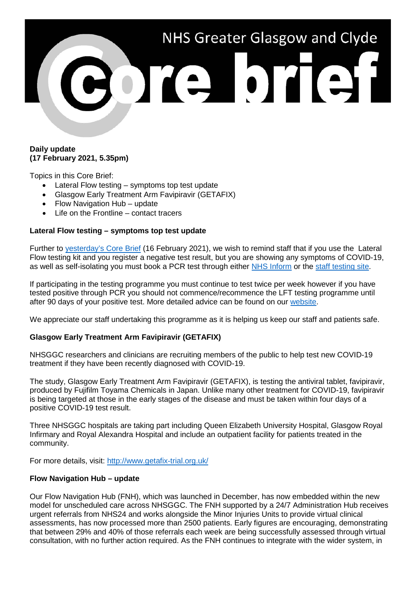

# **Daily update (17 February 2021, 5.35pm)**

Topics in this Core Brief:

- Lateral Flow testing symptoms top test update
- Glasgow Early Treatment Arm Favipiravir (GETAFIX)
- Flow Navigation Hub update
- Life on the Frontline contact tracers

## **Lateral Flow testing – symptoms top test update**

Further to [yesterday's Core Brief](https://www.nhsggc.org.uk/media/265296/032-core-brief-16-february-2021-daily-update.pdf) (16 February 2021), we wish to remind staff that if you use the Lateral Flow testing kit and you register a negative test result, but you are showing any symptoms of COVID-19, as well as self-isolating you must book a PCR test through either [NHS Inform](https://www.nhsinform.scot/illnesses-and-conditions/infections-and-poisoning/coronavirus-covid-19/test-and-protect/coronavirus-covid-19-testing) or the [staff testing site.](https://www.nhsggc.org.uk/your-health/health-issues/covid-19-coronavirus/for-nhsggc-staff/testing-for-staff-and-their-household-contacts/)

If participating in the testing programme you must continue to test twice per week however if you have tested positive through PCR you should not commence/recommence the LFT testing programme until after 90 days of your positive test. More detailed advice can be found on our [website.](https://www.nhsggc.org.uk/your-health/health-issues/covid-19-coronavirus/for-nhsggc-staff/lateral-flow-device-testing-guidance/)

We appreciate our staff undertaking this programme as it is helping us keep our staff and patients safe.

# **Glasgow Early Treatment Arm Favipiravir (GETAFIX)**

NHSGGC researchers and clinicians are recruiting members of the public to help test new COVID-19 treatment if they have been recently diagnosed with COVID-19.

The study, Glasgow Early Treatment Arm Favipiravir (GETAFIX), is testing the antiviral tablet, favipiravir, produced by Fujifilm Toyama Chemicals in Japan. Unlike many other treatment for COVID-19, favipiravir is being targeted at those in the early stages of the disease and must be taken within four days of a positive COVID-19 test result.

Three NHSGGC hospitals are taking part including Queen Elizabeth University Hospital, Glasgow Royal Infirmary and Royal Alexandra Hospital and include an outpatient facility for patients treated in the community.

For more details, visit:<http://www.getafix-trial.org.uk/>

# **Flow Navigation Hub – update**

Our Flow Navigation Hub (FNH), which was launched in December, has now embedded within the new model for unscheduled care across NHSGGC. The FNH supported by a 24/7 Administration Hub receives urgent referrals from NHS24 and works alongside the Minor Injuries Units to provide virtual clinical assessments, has now processed more than 2500 patients. Early figures are encouraging, demonstrating that between 29% and 40% of those referrals each week are being successfully assessed through virtual consultation, with no further action required. As the FNH continues to integrate with the wider system, in